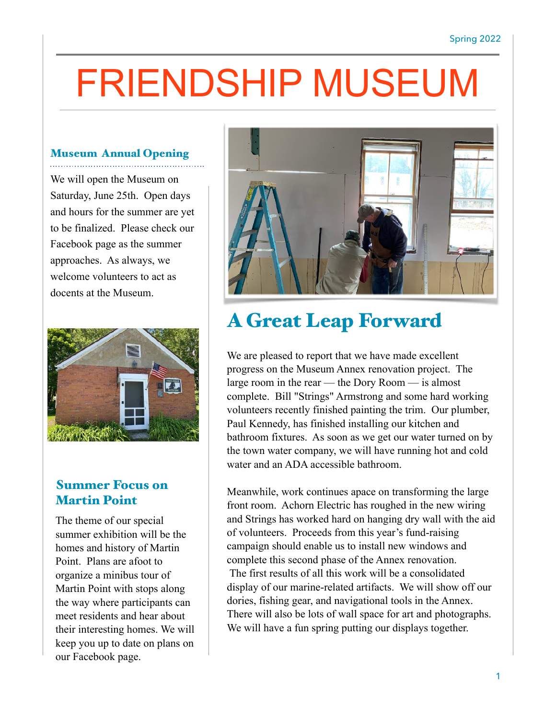# FRIENDSHIP MUSEUM

#### Museum Annual Opening

We will open the Museum on Saturday, June 25th. Open days and hours for the summer are yet to be finalized. Please check our Facebook page as the summer approaches. As always, we welcome volunteers to act as docents at the Museum.



#### Summer Focus on Martin Point

The theme of our special summer exhibition will be the homes and history of Martin Point. Plans are afoot to organize a minibus tour of Martin Point with stops along the way where participants can meet residents and hear about their interesting homes. We will keep you up to date on plans on our Facebook page.



## A Great Leap Forward

We are pleased to report that we have made excellent progress on the Museum Annex renovation project. The large room in the rear — the Dory Room — is almost complete. Bill "Strings" Armstrong and some hard working volunteers recently finished painting the trim. Our plumber, Paul Kennedy, has finished installing our kitchen and bathroom fixtures. As soon as we get our water turned on by the town water company, we will have running hot and cold water and an ADA accessible bathroom.

Meanwhile, work continues apace on transforming the large front room. Achorn Electric has roughed in the new wiring and Strings has worked hard on hanging dry wall with the aid of volunteers. Proceeds from this year's fund-raising campaign should enable us to install new windows and complete this second phase of the Annex renovation. The first results of all this work will be a consolidated display of our marine-related artifacts. We will show off our dories, fishing gear, and navigational tools in the Annex. There will also be lots of wall space for art and photographs. We will have a fun spring putting our displays together.